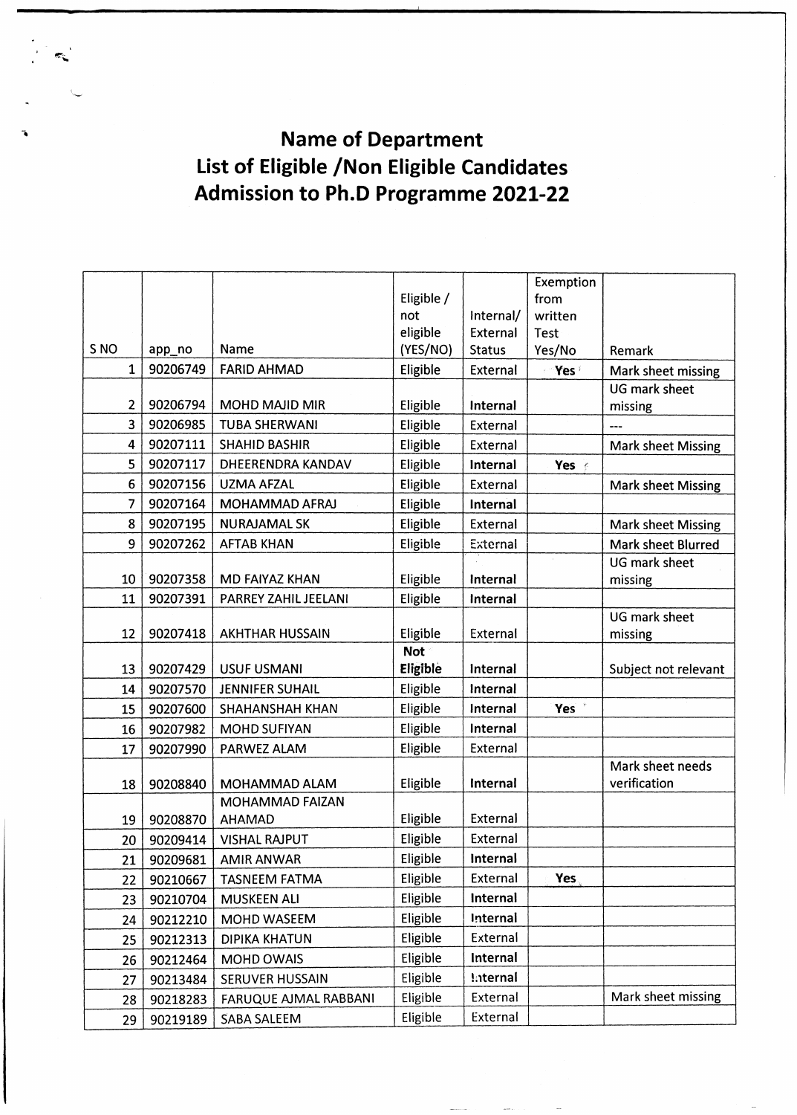**Name of Department List of Eligible /Non Eligible Candidates Admission to Ph.D Programme 2021-22**

|                 |          |                                  |            |                 | Exemption        |                           |  |
|-----------------|----------|----------------------------------|------------|-----------------|------------------|---------------------------|--|
|                 |          |                                  | Eligible / |                 | from             |                           |  |
|                 |          |                                  | not        | Internal/       | written          |                           |  |
|                 |          |                                  | eligible   | External        | Test             |                           |  |
| S <sub>NO</sub> | app_no   | Name                             | (YES/NO)   | <b>Status</b>   | Yes/No           | Remark                    |  |
| 1               | 90206749 | <b>FARID AHMAD</b>               | Eligible   | External        | Yes              | Mark sheet missing        |  |
|                 |          |                                  |            |                 |                  | UG mark sheet             |  |
| 2               | 90206794 | <b>MOHD MAJID MIR</b>            | Eligible   | Internal        |                  | missing                   |  |
| 3               | 90206985 | <b>TUBA SHERWANI</b>             | Eligible   | External        |                  | ---                       |  |
| 4               | 90207111 | <b>SHAHID BASHIR</b>             | Eligible   | External        |                  | <b>Mark sheet Missing</b> |  |
| 5               | 90207117 | DHEERENDRA KANDAV                | Eligible   | Internal        | Yes e            |                           |  |
| 6               | 90207156 | <b>UZMA AFZAL</b>                | Eligible   | External        |                  | <b>Mark sheet Missing</b> |  |
| 7               | 90207164 | MOHAMMAD AFRAJ                   | Eligible   | Internal        |                  |                           |  |
| 8               | 90207195 | <b>NURAJAMAL SK</b>              | Eligible   | External        |                  | <b>Mark sheet Missing</b> |  |
| 9               | 90207262 | <b>AFTAB KHAN</b>                | Eligible   | External        |                  | <b>Mark sheet Blurred</b> |  |
|                 |          |                                  |            |                 |                  | UG mark sheet             |  |
| 10              | 90207358 | <b>MD FAIYAZ KHAN</b>            | Eligible   | Internal        |                  | missing                   |  |
| 11              | 90207391 | PARREY ZAHIL JEELANI             | Eligible   | Internal        |                  |                           |  |
|                 |          |                                  |            |                 |                  | UG mark sheet             |  |
| 12              | 90207418 | <b>AKHTHAR HUSSAIN</b>           | Eligible   | External        |                  | missing                   |  |
|                 |          |                                  | <b>Not</b> |                 |                  |                           |  |
| 13              | 90207429 | <b>USUF USMANI</b>               | Eligible   | Internal        |                  | Subject not relevant      |  |
| 14              | 90207570 | <b>JENNIFER SUHAIL</b>           | Eligible   | Internal        |                  |                           |  |
| 15              | 90207600 | SHAHANSHAH KHAN                  | Eligible   | Internal        | Yes <sup>*</sup> |                           |  |
| 16              | 90207982 | MOHD SUFIYAN                     | Eligible   | Internal        |                  |                           |  |
| 17              | 90207990 | PARWEZ ALAM                      | Eligible   | External        |                  |                           |  |
|                 |          |                                  |            |                 |                  | Mark sheet needs          |  |
| 18              | 90208840 | MOHAMMAD ALAM                    | Eligible   | Internal        |                  | verification              |  |
|                 | 90208870 | MOHAMMAD FAIZAN<br><b>AHAMAD</b> | Eligible   | External        |                  |                           |  |
| 19              |          |                                  | Eligible   | External        |                  |                           |  |
| 20              | 90209414 | <b>VISHAL RAJPUT</b>             |            |                 |                  |                           |  |
| 21              | 90209681 | <b>AMIR ANWAR</b>                | Eligible   | Internal        |                  |                           |  |
| 22              | 90210667 | TASNEEM FATMA                    | Eligible   | External        | Yes              |                           |  |
| 23              | 90210704 | <b>MUSKEEN ALI</b>               | Eligible   | Internal        |                  |                           |  |
| 24              | 90212210 | MOHD WASEEM                      | Eligible   | Internal        |                  |                           |  |
| 25              | 90212313 | <b>DIPIKA KHATUN</b>             | Eligible   | External        |                  |                           |  |
| 26              | 90212464 | <b>MOHD OWAIS</b>                | Eligible   | Internal        |                  |                           |  |
| 27              | 90213484 | SERUVER HUSSAIN                  | Eligible   | <b>Internal</b> |                  |                           |  |
| 28              | 90218283 | FARUQUE AJMAL RABBANI            | Eligible   | External        |                  | Mark sheet missing        |  |
| 29              | 90219189 | SABA SALEEM                      | Eligible   | External        |                  |                           |  |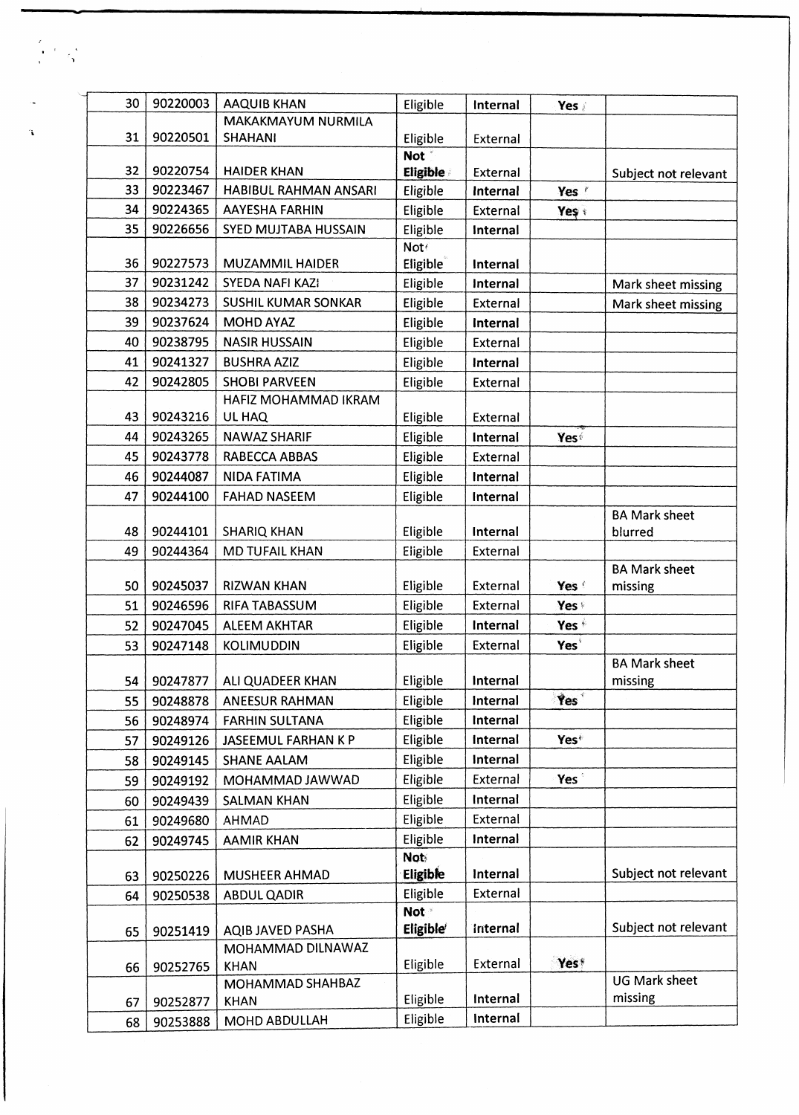| 30 | 90220003 | <b>AAQUIB KHAN</b>              | Eligible                     | Internal        | Yes              |                                 |
|----|----------|---------------------------------|------------------------------|-----------------|------------------|---------------------------------|
|    |          | MAKAKMAYUM NURMILA              |                              |                 |                  |                                 |
| 31 | 90220501 | <b>SHAHANI</b>                  | Eligible<br>Not <sup>*</sup> | External        |                  |                                 |
| 32 | 90220754 | <b>HAIDER KHAN</b>              | <b>Eligible</b>              | External        |                  | Subject not relevant            |
| 33 | 90223467 | HABIBUL RAHMAN ANSARI           | Eligible                     | Internal        | Yes *            |                                 |
| 34 | 90224365 | <b>AAYESHA FARHIN</b>           | Eligible                     | External        | Yeş +            |                                 |
| 35 | 90226656 | SYED MUJTABA HUSSAIN            | Eligible                     | Internal        |                  |                                 |
|    |          |                                 | Not€                         |                 |                  |                                 |
| 36 | 90227573 | MUZAMMIL HAIDER                 | Eligible                     | Internal        |                  |                                 |
| 37 | 90231242 | <b>SYEDA NAFI KAZI</b>          | Eligible                     | Internal        |                  | Mark sheet missing              |
| 38 | 90234273 | SUSHIL KUMAR SONKAR             | Eligible                     | External        |                  | Mark sheet missing              |
| 39 | 90237624 | <b>MOHD AYAZ</b>                | Eligible                     | Internal        |                  |                                 |
| 40 | 90238795 | <b>NASIR HUSSAIN</b>            | Eligible                     | External        |                  |                                 |
| 41 | 90241327 | <b>BUSHRA AZIZ</b>              | Eligible                     | Internal        |                  |                                 |
| 42 | 90242805 | <b>SHOBI PARVEEN</b>            | Eligible                     | External        |                  |                                 |
|    |          | HAFIZ MOHAMMAD IKRAM            |                              |                 |                  |                                 |
| 43 | 90243216 | UL HAQ                          | Eligible                     | External        |                  |                                 |
| 44 | 90243265 | <b>NAWAZ SHARIF</b>             | Eligible                     | <b>Internal</b> | Yes              |                                 |
| 45 | 90243778 | RABECCA ABBAS                   | Eligible                     | External        |                  |                                 |
| 46 | 90244087 | <b>NIDA FATIMA</b>              | Eligible                     | Internal        |                  |                                 |
| 47 | 90244100 | <b>FAHAD NASEEM</b>             | Eligible                     | Internal        |                  |                                 |
|    |          |                                 |                              |                 |                  | <b>BA Mark sheet</b>            |
| 48 | 90244101 | <b>SHARIQ KHAN</b>              | Eligible                     | <b>Internal</b> |                  | blurred                         |
| 49 | 90244364 | MD TUFAIL KHAN                  | Eligible                     | External        |                  |                                 |
| 50 | 90245037 | <b>RIZWAN KHAN</b>              | Eligible                     | External        | Yes f            | <b>BA Mark sheet</b><br>missing |
| 51 | 90246596 | RIFA TABASSUM                   | Eligible                     | External        | Yes <sup>®</sup> |                                 |
| 52 | 90247045 | ALEEM AKHTAR                    | Eligible                     | Internal        | Yes <sup>*</sup> |                                 |
| 53 | 90247148 | <b>KOLIMUDDIN</b>               | Eligible                     | External        | Yes <sup>®</sup> |                                 |
|    |          |                                 |                              |                 |                  | <b>BA Mark sheet</b>            |
| 54 | 90247877 | ALI QUADEER KHAN                | Eligible                     | Internal        |                  | missing                         |
| 55 | 90248878 | ANEESUR RAHMAN                  | Eligible                     | Internal        | Yes <sup>®</sup> |                                 |
| 56 | 90248974 | <b>FARHIN SULTANA</b>           | Eligible                     | Internal        |                  |                                 |
| 57 | 90249126 | JASEEMUL FARHAN K P             | Eligible                     | Internal        | Yes*             |                                 |
| 58 | 90249145 | <b>SHANE AALAM</b>              | Eligible                     | Internal        |                  |                                 |
| 59 | 90249192 | MOHAMMAD JAWWAD                 | Eligible                     | External        | Yes <sup>®</sup> |                                 |
| 60 | 90249439 | <b>SALMAN KHAN</b>              | Eligible                     | Internal        |                  |                                 |
| 61 | 90249680 | AHMAD                           | Eligible                     | External        |                  |                                 |
| 62 | 90249745 | <b>AAMIR KHAN</b>               | Eligible                     | Internal        |                  |                                 |
|    |          |                                 | <b>Not</b>                   |                 |                  |                                 |
| 63 | 90250226 | MUSHEER AHMAD                   | Eligible                     | Internal        |                  | Subject not relevant            |
| 64 | 90250538 | <b>ABDUL QADIR</b>              | Eligible                     | External        |                  |                                 |
|    |          |                                 | <b>Not</b>                   |                 |                  |                                 |
| 65 | 90251419 | AQIB JAVED PASHA                | Eligible <sup>®</sup>        | internal        |                  | Subject not relevant            |
|    |          | MOHAMMAD DILNAWAZ               |                              |                 |                  |                                 |
| 66 | 90252765 | <b>KHAN</b>                     | Eligible                     | External        | Yes*             | <b>UG Mark sheet</b>            |
|    |          | MOHAMMAD SHAHBAZ<br><b>KHAN</b> | Eligible                     | Internal        |                  | missing                         |
| 67 | 90252877 |                                 | Eligible                     | Internal        |                  |                                 |
| 68 | 90253888 | MOHD ABDULLAH                   |                              |                 |                  |                                 |

 $\begin{pmatrix} \mathbf{r} & \mathbf{r} & \mathbf{r} \\ \mathbf{r} & \mathbf{r} & \mathbf{r} \\ \mathbf{r} & \mathbf{r} & \mathbf{r} \end{pmatrix}$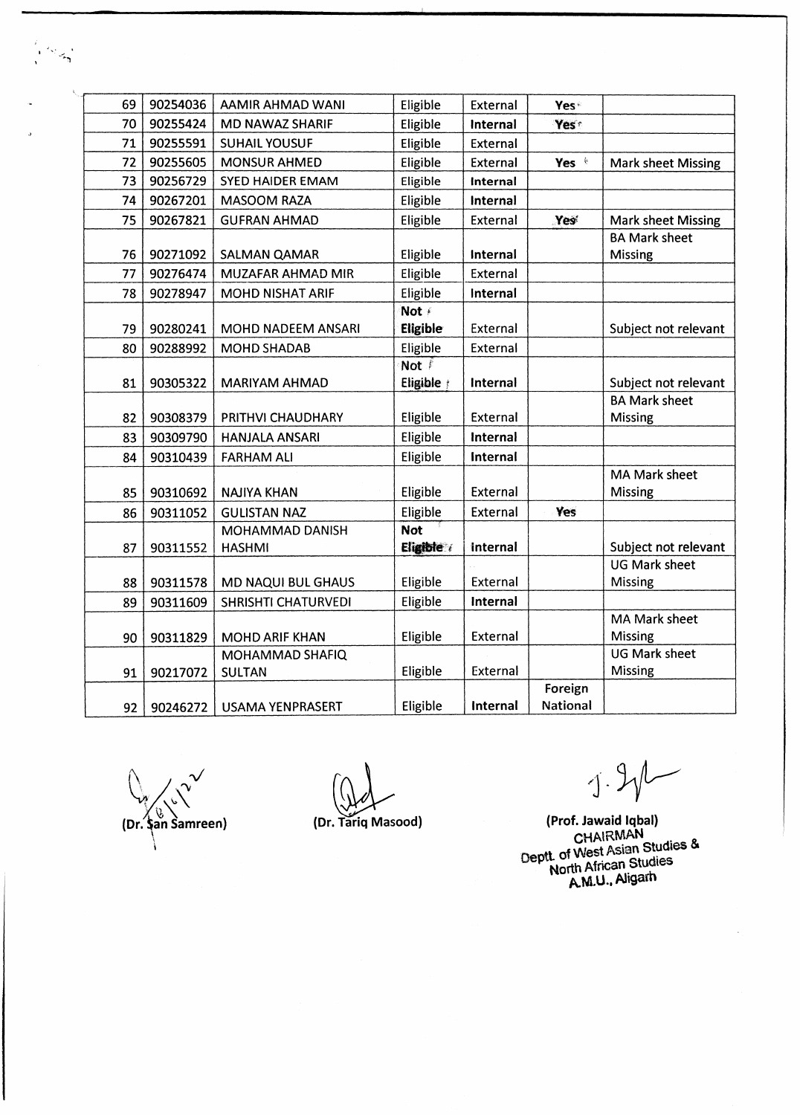| 69 | 90254036 | AAMIR AHMAD WANI           | Eligible         | External        | Yes <sup>®</sup> |                           |
|----|----------|----------------------------|------------------|-----------------|------------------|---------------------------|
| 70 | 90255424 | <b>MD NAWAZ SHARIF</b>     | Eligible         | <b>Internal</b> | Yest             |                           |
| 71 | 90255591 | <b>SUHAIL YOUSUF</b>       | Eligible         | External        |                  |                           |
| 72 | 90255605 | <b>MONSUR AHMED</b>        | Eligible         | External        | Yes *            | <b>Mark sheet Missing</b> |
| 73 | 90256729 | SYED HAIDER EMAM           | Eligible         | Internal        |                  |                           |
| 74 | 90267201 | <b>MASOOM RAZA</b>         | Eligible         | Internal        |                  |                           |
| 75 | 90267821 | <b>GUFRAN AHMAD</b>        | Eligible         | External        | Yes              | <b>Mark sheet Missing</b> |
|    |          |                            |                  |                 |                  | <b>BA Mark sheet</b>      |
| 76 | 90271092 | SALMAN QAMAR               | Eligible         | Internal        |                  | Missing                   |
| 77 | 90276474 | MUZAFAR AHMAD MIR          | Eligible         | External        |                  |                           |
| 78 | 90278947 | MOHD NISHAT ARIF           | Eligible         | Internal        |                  |                           |
|    |          |                            | Not /            |                 |                  |                           |
| 79 | 90280241 | MOHD NADEEM ANSARI         | Eligible         | External        |                  | Subject not relevant      |
| 80 | 90288992 | <b>MOHD SHADAB</b>         | Eligible         | External        |                  |                           |
|    |          |                            | Not <sup>7</sup> |                 |                  |                           |
| 81 | 90305322 | <b>MARIYAM AHMAD</b>       | Eligible         | Internal        |                  | Subject not relevant      |
|    |          |                            |                  |                 |                  | <b>BA Mark sheet</b>      |
| 82 | 90308379 | PRITHVI CHAUDHARY          | Eligible         | External        |                  | Missing                   |
| 83 | 90309790 | <b>HANJALA ANSARI</b>      | Eligible         | Internal        |                  |                           |
| 84 | 90310439 | <b>FARHAM ALI</b>          | Eligible         | <b>Internal</b> |                  |                           |
|    |          |                            |                  |                 |                  | MA Mark sheet             |
| 85 | 90310692 | <b>NAJIYA KHAN</b>         | Eligible         | External        |                  | Missing                   |
| 86 | 90311052 | <b>GULISTAN NAZ</b>        | Eligible         | External        | Yes              |                           |
|    |          | MOHAMMAD DANISH            | <b>Not</b>       |                 |                  |                           |
| 87 | 90311552 | <b>HASHMI</b>              | Eligible /       | internal        |                  | Subject not relevant      |
|    |          |                            |                  |                 |                  | <b>UG Mark sheet</b>      |
| 88 | 90311578 | MD NAQUI BUL GHAUS         | Eligible         | External        |                  | Missing                   |
| 89 | 90311609 | <b>SHRISHTI CHATURVEDI</b> | Eligible         | Internal        |                  |                           |
|    |          |                            |                  |                 |                  | MA Mark sheet             |
| 90 | 90311829 | <b>MOHD ARIF KHAN</b>      | Eligible         | External        |                  | <b>Missing</b>            |
|    |          | MOHAMMAD SHAFIQ            |                  |                 |                  | <b>UG Mark sheet</b>      |
| 91 | 90217072 | <b>SULTAN</b>              | Eligible         | External        |                  | Missing                   |
|    |          |                            |                  |                 | Foreign          |                           |
| 92 | 90246272 | <b>USAMA YENPRASERT</b>    | Eligible         | Internal        | National         |                           |

 $\mathcal{V}$  $\mathbf{v}$ **(Dr. \$an Samreen) (Dr. Tariq Masood)**

 $\frac{1}{2}$ 

*1*

**(Prof. Jawaid Iqbal)** CHAIRMAN **Orger of West Asian Studies**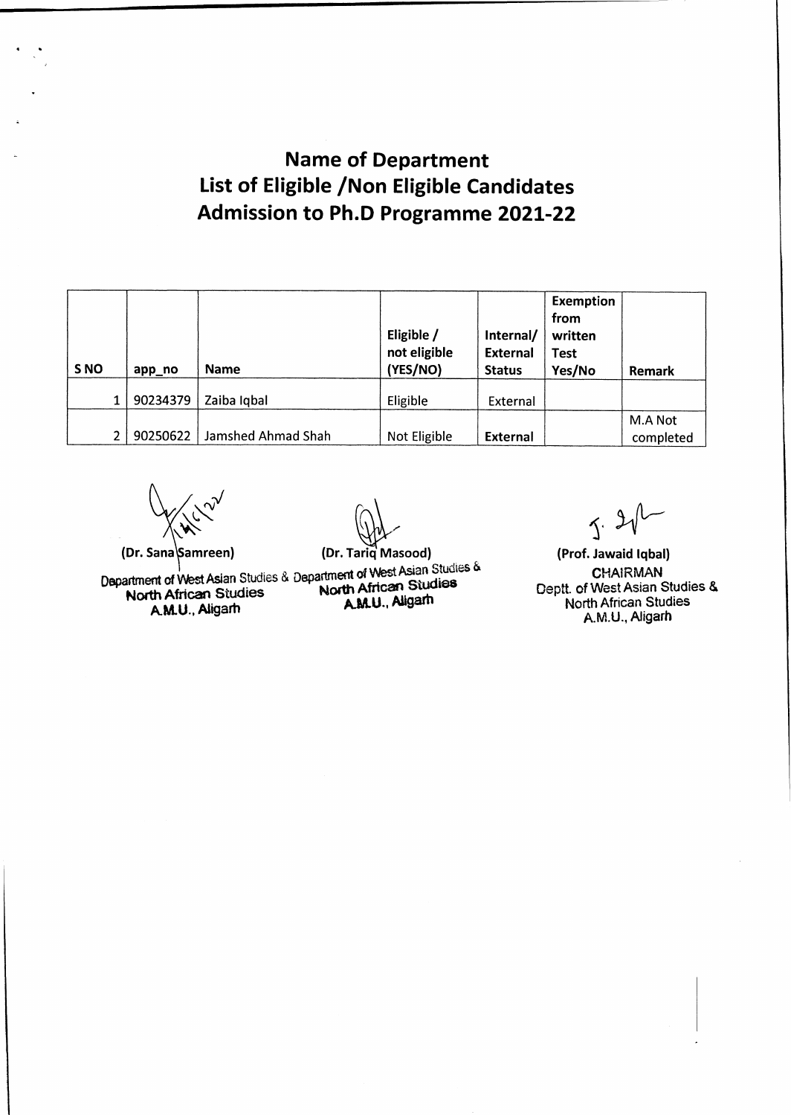## **Name of Department List of Eligible /Non Eligible Candidates Admission to Ph.D Programme 2021-22**

| S <sub>NO</sub> | app_no   | <b>Name</b>        | Eligible /<br>not eligible<br>(YES/NO) | Internal/<br><b>External</b><br><b>Status</b> | <b>Exemption</b><br>from<br>written<br><b>Test</b><br>Yes/No | Remark               |
|-----------------|----------|--------------------|----------------------------------------|-----------------------------------------------|--------------------------------------------------------------|----------------------|
|                 | 90234379 | Zaiba Iqbal        | Eligible                               | External                                      |                                                              |                      |
|                 | 90250622 | Jamshed Ahmad Shah | Not Eligible                           | <b>External</b>                               |                                                              | M.A Not<br>completed |

**(Dr. Sana** Samreen) **(Dr. Tariq Masood)** 

**Department** of **West Asian** Studies **&** Department & North African Studies North African Summer antern or viest Asian Studies & Department of Visit Mathematic Charles North African Studies<br>
AM.U., Aligarh AM.U., Aligarh

 $5.2$ 

**(Prof. Jawaid Iqbal) CHAIRM AN Deptt. of West Asian Studies & North African Studies A.M.U., Aligarh**